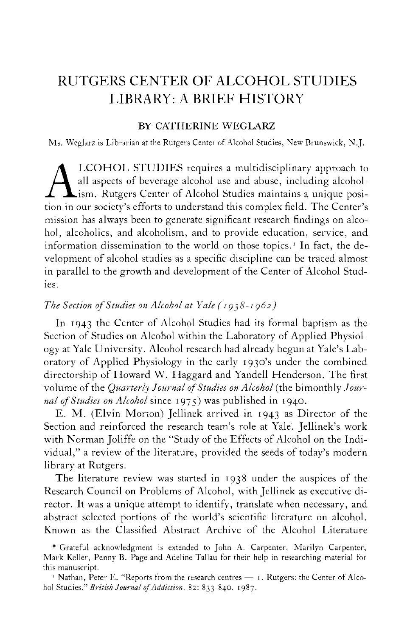# RUTGERS CENTER OF ALCOHOL STUDIES LIBRARY: A BRIEF HISTORY

## BY CATHERINE WEGLARZ

Ms. Weglarz is Librarian at the Rutgers Center of Alcohol Studies, New Brunswick, N.J.

LCOHOL STUDIES requires a multidisciplinary approach to all aspects of beverage alcohol use and abuse, including alcoholism. Rutgers Center of Alcohol Studies maintains a unique position in our society's efforts to underst LCOHOL STUDIES requires a multidisciplinary approach to all aspects of beverage alcohol use and abuse, including alcoholism. Rutgers Center of Alcohol Studies maintains a unique posimission has always been to generate significant research findings on alcohol, alcoholics, and alcoholism, and to provide education, service, and information dissemination to the world on those topics.<sup>1</sup> In fact, the development of alcohol studies as a specific discipline can be traced almost in parallel to the growth and development of the Center of Alcohol Studies.

## *The Section of Studies on Alcohol at Yale ( 1938-1962)*

In 1943 the Center of Alcohol Studies had its formal baptism as the Section of Studies on Alcohol within the Laboratory of Applied Physiology at Yale University. Alcohol research had already begun at Yale's Laboratory of Applied Physiology in the early 1930's under the combined directorship of Howard W. Haggard and Yandell Henderson. The first volume of the *Quarterly Journal of Studies on Alcohol* (the bimonthly *Journal of Studies on Alcohol* since 1975) was published in 1940.

E. M. (Elvin Morton) Jellinek arrived in 1943 as Director of the Section and reinforced the research team's role at Yale. Jellinek's work with Norman Joliffe on the "Study of the Effects of Alcohol on the Individual," a review of the literature, provided the seeds of today's modern library at Rutgers.

The literature review was started in 1938 under the auspices of the Research Council on Problems of Alcohol, with Jellinek as executive director. It was a unique attempt to identify, translate when necessary, and abstract selected portions of the world's scientific literature on alcohol. Known as the Classified Abstract Archive of the Alcohol Literature

<sup>#</sup> Grateful acknowledgment is extended to John A. Carpenter, Marilyn Carpenter, Mark Keller, Penny B. Page and Adeline Tallau for their help in researching material for this manuscript.

<sup>1</sup> Nathan, Peter E. "Reports from the research centres — 1. Rutgers: the Center of Alcohol Studies." *B ritish Journal of Addiction.* 82: 833-840. 1987.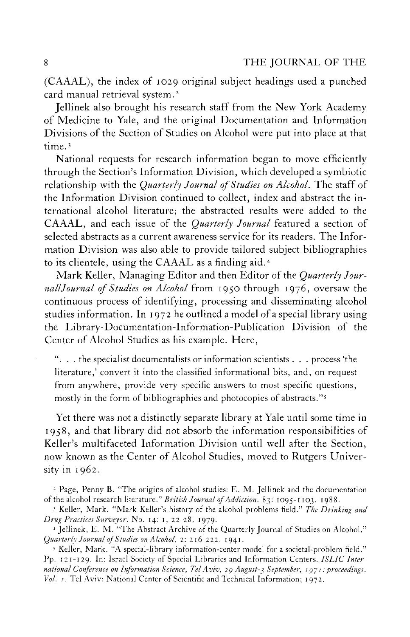(CAAAL), the index of 1029 original subject headings used a punched card manual retrieval system.<sup>2</sup>

Jellinek also brought his research staff from the New York Academy of Medicine to Yale, and the original Documentation and Information Divisions of the Section of Studies on Alcohol were put into place at that time.<sup>3</sup>

National requests for research information began to move efficiently through the Section's Information Division, which developed a symbiotic relationship with the *Quarterly Journal of Studies on Alcohol.* The staff of the Information Division continued to collect, index and abstract the international alcohol literature; the abstracted results were added to the CAAAL , and each issue of the *Quarterly Journal* featured a section of selected abstracts as a current awareness service for its readers. The Information Division was also able to provide tailored subject bibliographies to its clientele, using the CAAAL as a finding aid.<sup>4</sup>

Mark Keller, Managing Editor and then Editor of the *Quarterly Journal! Journal of Studies on Alcohol* from 1950 through 1976, oversaw the continuous process of identifying, processing and disseminating alcohol studies information. In 1972 he outlined a model of a special library using the Library-Documentation-Information-Publication Division of the Center of Alcohol Studies as his example. Here,

. . the specialist documentalists or information scientists . . . process'the literature,' convert it into the classified informational bits, and, on request from anywhere, provide very specific answers to most specific questions, mostly in the form of bibliographies and photocopies of abstracts."<sup>5</sup>

Yet there was not a distinctly separate library at Yale until some time in 1958, and that library did not absorb the information responsibilities of Keller's multifaceted Information Division until well after the Section, now known as the Center of Alcohol Studies, moved to Rutgers University in 1962.

5 Keller, Mark. "A special-library information-center model for a societal-problem field." Pp. 121-129. In: Israel Society of Special Libraries and Information Centers. *ISLIC International Conference on Information Science, Tel Aviv, 29 August-3 September, 197 / : proceedings. Vol. i*. Tel Aviv: National Center of Scientific and Technical Information; 1972.

<sup>2</sup> Page, Penny B. "The origins of alcohol studies: E. M . Jellinek and the documentation of the alcohol research literature." *British Journal of Addiction.* 83: 1095-1103. 1988.

<sup>\*</sup> Keller, Mark. "Mark Keller's history of the alcohol problems field." *The Drinking and Drug Practices Surveyor.* No. 14: 1, 22-28. 1979.

<sup>4</sup> Jellinek, E. M . "The Abstract Archive of the Quarterly Journal of Studies on Alcohol." *Quarterly Journal of Studies on Alcohol. 2: 216-222. 1941.*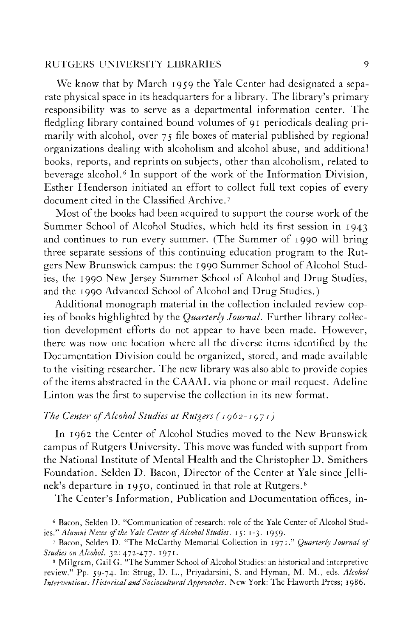We know that by March 1959 the Yale Center had designated a separate physical space in its headquarters for a library. The library's primary responsibility was to serve as a departmental information center. The fledgling library contained bound volumes of 91 periodicals dealing primarily with alcohol, over 75 file boxes of material published by regional organizations dealing with alcoholism and alcohol abuse, and additional books, reports, and reprints on subjects, other than alcoholism, related to beverage alcohol.<sup>6</sup> In support of the work of the Information Division, Esther Henderson initiated an effort to collect full text copies of every document cited in the Classified Archive.<sup>7</sup>

Most of the books had been acquired to support the course work of the Summer School of Alcohol Studies, which held its first session in 1943 and continues to run every summer. (The Summer of 1990 will bring three separate sessions of this continuing education program to the Rutgers New Brunswick campus: the 1990 Summer School of Alcohol Studies, the 1990 New Jersey Summer School of Alcohol and Drug Studies, and the 1990 Advanced School of Alcohol and Drug Studies.)

Additional monograph material in the collection included review copies of books highlighted by the *Quarterly Journal.* Further library collection development efforts do not appear to have been made. However, there was now one location where all the diverse items identified by the Documentation Division could be organized, stored, and made available to the visiting researcher. The new library was also able to provide copies of the items abstracted in the CAAA L via phone or mail request. Adeline Linton was the first to supervise the collection in its new format.

## *The Center of Alcohol Studies at Rutgers ( 1962-1971)*

In 1962 the Center of Alcohol Studies moved to the New Brunswick campus of Rutgers University. This move was funded with support from the National Institute of Mental Health and the Christopher D. Smithers Foundation. Selden D. Bacon, Director of the Center at Yale since Jellinek's departure in 1950, continued in that role at Rutgers.<sup>8</sup>

The Center's Information, Publication and Documentation offices, in-

6 Bacon, Selden D. "Communication of research: role of the Yale Center of Alcohol Studies *y Alumni News of the Yale Center of Alcohol Studies.* 15: 1-3. 1959.

<sup>&</sup>lt;sup>7</sup> Bacon, Selden D. "The McCarthy Memorial Collection in 1971." *Quarterly Journal of Studies on Alcohol.* 32: 472-477. 1971 .

<sup>8</sup> Milgram, Gail G. "The Summer School of Alcohol Studies: an historical and interpretive review." Pp. 59-74. In: Strug, D. L. , Priyadarsini, S. and Hyman, M . M. , eds. *Alcohol Interventions: Historical and Sociocultural Approaches.* New York: The Haworth Press; 1986.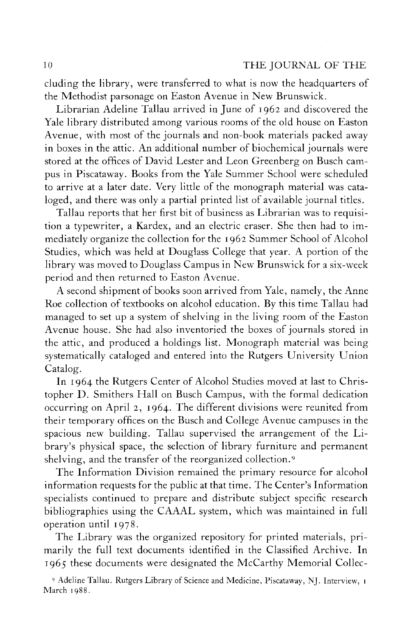eluding the library, were transferred to what is now the headquarters of the Methodist parsonage on Easton Avenue in New Brunswick.

Librarian Adeline Tallau arrived in June of 1962 and discovered the Yale library distributed among various rooms of the old house on Easton Avenue, with most of the journals and non-book materials packed away in boxes in the attic. An additional number of biochemical journals were stored at the offices of David Lester and Leon Greenberg on Busch campus in Piscataway. Books from the Yale Summer School were scheduled to arrive at a later date. Very little of the monograph material was cataloged, and there was only a partial printed list of available journal titles.

Tallau reports that her first bit of business as Librarian was to requisition a typewriter, a Kardex, and an electric eraser. She then had to immediately organize the collection for the 1962 Summer School of Alcohol Studies, which was held at Douglass College that year. A portion of the library was moved to Douglass Campus in New Brunswick for a six-week period and then returned to Easton Avenue.

A second shipment of books soon arrived from Yale, namely, the Anne Roe collection of textbooks on alcohol education. By this time Tallau had managed to set up a system of shelving in the living room of the Easton Avenue house. She had also inventoried the boxes of journals stored in the attic, and produced a holdings list. Monograph material was being systematically cataloged and entered into the Rutgers University Union Catalog.

In 1964 the Rutgers Center of Alcohol Studies moved at last to Christopher D. Smithers Hall on Busch Campus, with the formal dedication occurring on April 2, 1964. The different divisions were reunited from their temporary offices on the Busch and College Avenue campuses in the spacious new building. Tallau supervised the arrangement of the Library's physical space, the selection of library furniture and permanent shelving, and the transfer of the reorganized collection.<sup>9</sup>

The Information Division remained the primary resource for alcohol information requests for the public at that time. The Center's Information specialists continued to prepare and distribute subject specific research bibliographies using the CAAAL system, which was maintained in full operation until 1978.

The Library was the organized repository for printed materials, primarily the full text documents identified in the Classified Archive. In 1965 these documents were designated the McCarthy Memorial Collec-

<sup>9</sup> Adeline Tallau. Rutgers Library of Science and Medicine, Piscataway, NJ. Interview, 1 March 1988.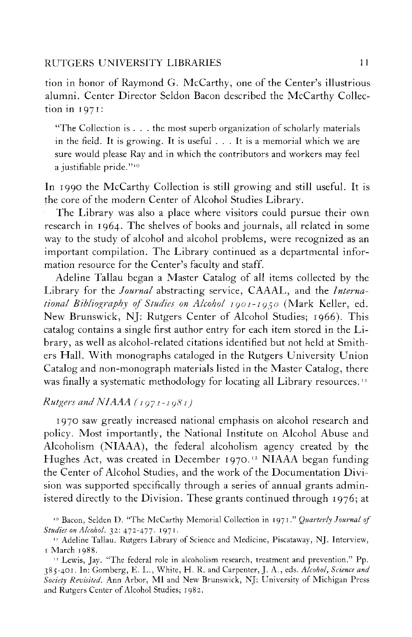tion in honor of Raymond G. McCarthy, one of the Center's illustrious alumni. Center Director Seldon Bacon described the McCarthy Collection in 1971:

"The Collection is . . . the most superb organization of scholarly materials in the field. It is growing. It is useful . . . It is a memorial which we are sure would please Ray and in which the contributors and workers may feel a justifiable pride."<sup>10</sup>

In 1990 the McCarthy Collection is still growing and still useful. It is the core of the modern Center of Alcohol Studies Library.

The Library was also a place where visitors could pursue their own research in 1964. The shelves of books and journals, all related in some way to the study of alcohol and alcohol problems, were recognized as an important compilation. The Library continued as a departmental information resource for the Center's faculty and staff.

Adeline Tallau began a Master Catalog of all items collected by the Library for the *Journal* abstracting service, CAAAL , and the *International Bibliography of Studies on Alcohol IÇOI-IÇ^O* (Mark Keller, ed. New Brunswick, NJ: Rutgers Center of Alcohol Studies; 1966). This catalog contains a single first author entry for each item stored in the Library, as well as alcohol-related citations identified but not held at Smithers Hall. With monographs cataloged in the Rutgers University Union Catalog and non-monograph materials listed in the Master Catalog, there was finally a systematic methodology for locating all Library resources.<sup>11</sup>

## *Rutgers and NIAAA* ( $1971 - 1981$ )

1970 saw greatly increased national emphasis on alcohol research and policy. Most importantly, the National Institute on Alcohol Abuse and Alcoholism (NIAAA), the federal alcoholism agency created by the Hughes Act, was created in December 1970.<sup>12</sup> NIAAA began funding the Center of Alcohol Studies, and the work of the Documentation Division was supported specifically through a series of annual grants administered directly to the Division. These grants continued through 1976; at

<sup>10</sup> Bacon, Selden D. "The McCarthy Memorial Collection in 1971. " *Quarterly Journal of Studies on Alcohol.* 32: 472-477. 1971.

<sup>11</sup> Adeline Tallau. Rutgers Library of Science and Medicine, Piscataway, NJ. Interview, 1 March 1988.

<sup>12</sup> Lewis, Jay. "The federal role in alcoholism research, treatment and prevention." Pp. 385-401. In: Gomberg, E. L. , White, H . R. and Carpenter, J. A., eds. *Alcohol, Science and Society Revisited.* Ann Arbor, MI and New Brunswick, NJ: University of Michigan Press and Rutgers Center of Alcohol Studies; 1982.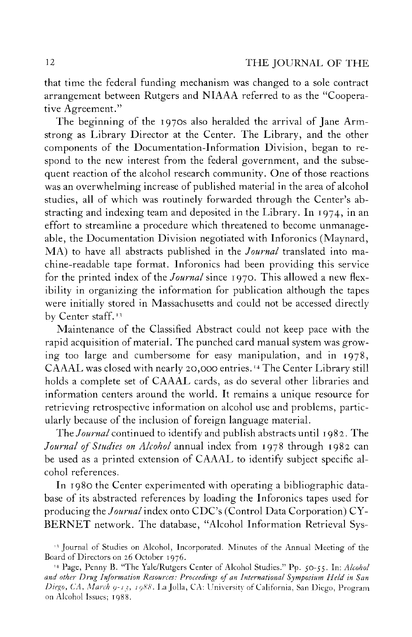that time the federal funding mechanism was changed to a sole contract arrangement between Rutgers and NIAAA referred to as the "Cooperative Agreement."

The beginning of the 1970s also heralded the arrival of Jane Armstrong as Library Director at the Center. The Library, and the other components of the Documentation-Information Division, began to respond to the new interest from the federal government, and the subsequent reaction of the alcohol research community. One of those reactions was an overwhelming increase of published material in the area of alcohol studies, all of which was routinely forwarded through the Center's abstracting and indexing team and deposited in the Library. In 1974, in an effort to streamline a procedure which threatened to become unmanageable, the Documentation Division negotiated with Inforonics (Maynard, MA) to have all abstracts published in the *Journal* translated into machine-readable tape format. Inforonics had been providing this service for the printed index of the *Journal* since 1970. This allowed a new flexibility in organizing the information for publication although the tapes were initially stored in Massachusetts and could not be accessed directly by Center staff.<sup>13</sup>

Maintenance of the Classified Abstract could not keep pace with the rapid acquisition of material. The punched card manual system was growing too large and cumbersome for easy manipulation, and in 1978, CAAAL was closed with nearly 20,000 entries.<sup>14</sup> The Center Library still holds a complete set of CAAAL cards, as do several other libraries and information centers around the world. It remains a unique resource for retrieving retrospective information on alcohol use and problems, particularly because of the inclusion of foreign language material.

The *Journal* continued to identify and publish abstracts until 1982. The *Journal of Studies on Alcohol* annual index from 1978 through 1982 can be used as a printed extension of CAAAL to identify subject specific alcohol references.

In 1980 the Center experimented with operating a bibliographic database of its abstracted references by loading the Inforonics tapes used for producing the *Journal* index onto CDC's (Control Data Corporation) CY-BERNET network. The database, "Alcohol Information Retrieval Sys-

<sup>13</sup> Journal of Studies on Alcohol, Incorporated. Minutes of the Annual Meeting of the Board of Directors on 26 October 1976.

<sup>&#</sup>x27; <sup>4</sup> Page, Penny B. "The Yale/Rutgers Center of Alcohol Studies." Pp. 50-55. In: *Alcohol and other Drug Information Resources: Proceedings of an International Symposium Held in San Diego, CA, March 9-13, 1988.* La Jolla, CA: University of California, San Diego, Program on Alcohol Issues; 1988.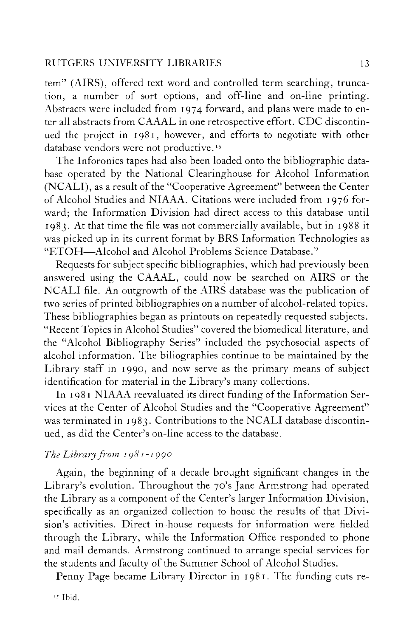tem" (AIRS), offered text word and controlled term searching, truncation, a number of sort options, and off-line and on-line printing. Abstracts were included from 1974 forward, and plans were made to enter all abstracts from CAAAL in one retrospective effort. CDC discontinued the project in 1981, however, and efforts to negotiate with other database vendors were not productive.<sup>15</sup>

The Inforonics tapes had also been loaded onto the bibliographic database operated by the National Clearinghouse for Alcohol Information (NCALI), as a result of the "Cooperative Agreement" between the Center of Alcohol Studies and NIAAA. Citations were included from 1976 forward; the Information Division had direct access to this database until 1983. At that time the file was not commercially available, but in 1988 it was picked up in its current format by BRS Information Technologies as "ETOH-Alcohol and Alcohol Problems Science Database."

Requests for subject specific bibliographies, which had previously been answered using the CAAAL , could now be searched on AIRS or the NCALI file. An outgrowth of the AIRS database was the publication of two series of printed bibliographies on a number of alcohol-related topics. These bibliographies began as printouts on repeatedly requested subjects. "Recent Topics in Alcohol Studies" covered the biomedical literature, and the "Alcohol Bibliography Series" included the psychosocial aspects of alcohol information. The biliographies continue to be maintained by the Library staff in 1990, and now serve as the primary means of subject identification for material in the Library's many collections.

In 1981 NIAAA reevaluated its direct funding of the Information Services at the Center of Alcohol Studies and the "Cooperative Agreement" was terminated in 1983. Contributions to the NCALI database discontinued, as did the Center's on-line access to the database.

# *The Library from 1981-1990*

Again, the beginning of a decade brought significant changes in the Library's evolution. Throughout the 70's Jane Armstrong had operated the Library as a component of the Center's larger Information Division, specifically as an organized collection to house the results of that Division's activities. Direct in-house requests for information were fielded through the Library, while the Information Office responded to phone and mail demands. Armstrong continued to arrange special services for the students and faculty of the Summer School of Alcohol Studies.

Penny Page became Library Director in 1981. The funding cuts re-

\* Ibid.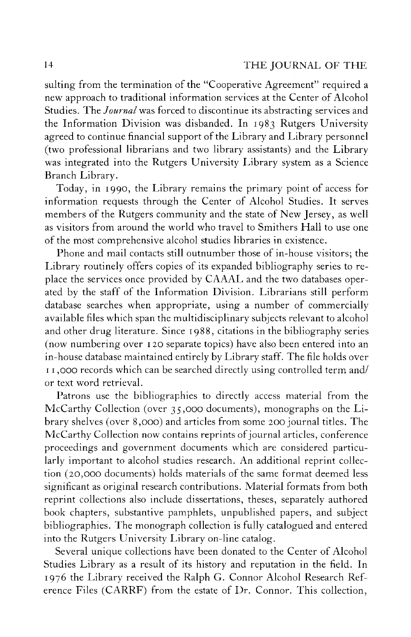sulting from the termination of the "Cooperative Agreement" required a new approach to traditional information services at the Center of Alcohol Studies. The *Journal* was forced to discontinue its abstracting services and the Information Division was disbanded. In 1983 Rutgers University agreed to continue financial support of the Library and Library personnel (two professional librarians and two library assistants) and the Library was integrated into the Rutgers University Library system as a Science Branch Library.

Today, in 1990, the Library remains the primary point of access for information requests through the Center of Alcohol Studies. It serves members of the Rutgers community and the state of New Jersey, as well as visitors from around the world who travel to Smithers Hall to use one of the most comprehensive alcohol studies libraries in existence.

Phone and mail contacts still outnumber those of in-house visitors; the Library routinely offers copies of its expanded bibliography series to replace the services once provided by CAAAL and the two databases operated by the staff of the Information Division. Librarians still perform database searches when appropriate, using a number of commercially available files which span the multidisciplinary subjects relevant to alcohol and other drug literature. Since 1988, citations in the bibliography series (now numbering over 120 separate topics) have also been entered into an in-house database maintained entirely by Library staff. The file holds over 11,000 records which can be searched directly using controlled term and/ or text word retrieval.

Patrons use the bibliographies to directly access material from the McCarthy Collection (over 35,000 documents), monographs on the Library shelves (over 8,000) and articles from some 200 journal titles. The McCarthy Collection now contains reprints of journal articles, conference proceedings and government documents which are considered particularly important to alcohol studies research. An additional reprint collection (20,000 documents) holds materials of the same format deemed less significant as original research contributions. Material formats from both reprint collections also include dissertations, theses, separately authored book chapters, substantive pamphlets, unpublished papers, and subject bibliographies. The monograph collection is fully catalogued and entered into the Rutgers University Library on-line catalog.

Several unique collections have been donated to the Center of Alcohol Studies Library as a result of its history and reputation in the field. In 1976 the Library received the Ralph G. Connor Alcohol Research Reference Files (CARRF) from the estate of Dr. Connor. This collection,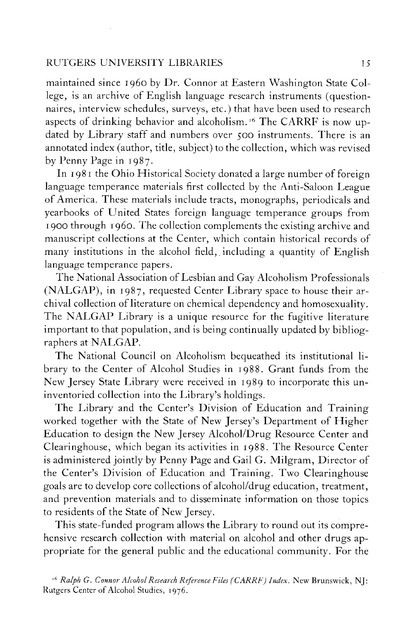maintained since i960 by Dr. Connor at Eastern Washington State College, is an archive of English language research instruments (questionnaires, interview schedules, surveys, etc.) that have been used to research aspects of drinking behavior and alcoholism.<sup>16</sup> The CARRF is now updated by Library staff and numbers over 500 instruments. There is an annotated index (author, title, subject) to the collection, which was revised by Penny Page in 1987.

In 1981 the Ohio Historical Society donated a large number of foreign language temperance materials first collected by the Anti-Saloon League of America. These materials include tracts, monographs, periodicals and yearbooks of United States foreign language temperance groups from 1900 through i960. The collection complements the existing archive and manuscript collections at the Center, which contain historical records of many institutions in the alcohol field, including a quantity of English language temperance papers.

The National Association of Lesbian and Gay Alcoholism Professionals (NALGAP), in 1987, requested Center Library space to house their archival collection of literature on chemical dependency and homosexuality. The NALGAP Library is a unique resource for the fugitive literature important to that population, and is being continually updated by bibliographers at NALGAP.

The National Council on Alcoholism bequeathed its institutional library to the Center of Alcohol Studies in 1988. Grant funds from the New Jersey State Library were received in 1989 to incorporate this uninventoried collection into the Library's holdings.

The Library and the Center's Division of Education and Training worked together with the State of New Jersey's Department of Higher Education to design the New Jersey Alcohol/Drug Resource Center and Clearinghouse, which began its activities in 1988. The Resource Center is administered jointly by Penny Page and Gail G. Milgram, Director of the Center's Division of Education and Training. Two Clearinghouse goals are to develop core collections of alcohol/drug education, treatment, and prevention materials and to disseminate information on those topics to residents of the State of New Jersey.

This state-funded program allows the Library to round out its comprehensive research collection with material on alcohol and other drugs appropriate for the general public and the educational community. For the

*<sup>16</sup> Ralph G. Connor Alcohol Research Reference Files (CARRF) Index.* New Brunswick, NJ: Rutgers Center of Alcohol Studies, 1976.